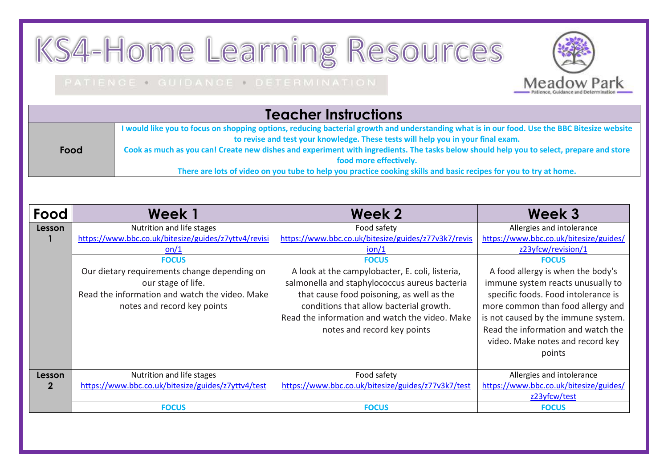## KS4-Home Learning Resources

## PATIENCE . GUIDANCE . DETERMINATION



**Meadow Park** 

|      | I would like you to focus on shopping options, reducing bacterial growth and understanding what is in our food. Use the BBC Bitesize website |  |  |  |
|------|----------------------------------------------------------------------------------------------------------------------------------------------|--|--|--|
|      | to revise and test your knowledge. These tests will help you in your final exam.                                                             |  |  |  |
| Food | Cook as much as you can! Create new dishes and experiment with ingredients. The tasks below should help you to select, prepare and store     |  |  |  |
|      | food more effectively.                                                                                                                       |  |  |  |
|      | There are lots of video on you tube to help you practice cooking skills and basic recipes for you to try at home.                            |  |  |  |

| Food                  | <b>Week1</b>                                                                                                                                                                                                                                                     | Week 2                                                                                                                                                                                                                                                                                                                                                                                    | Week 3                                                                                                                                                                                                                                                                                                                                                                                     |
|-----------------------|------------------------------------------------------------------------------------------------------------------------------------------------------------------------------------------------------------------------------------------------------------------|-------------------------------------------------------------------------------------------------------------------------------------------------------------------------------------------------------------------------------------------------------------------------------------------------------------------------------------------------------------------------------------------|--------------------------------------------------------------------------------------------------------------------------------------------------------------------------------------------------------------------------------------------------------------------------------------------------------------------------------------------------------------------------------------------|
| Lesson                | Nutrition and life stages<br>https://www.bbc.co.uk/bitesize/guides/z7yttv4/revisi<br>on/1<br><b>FOCUS</b><br>Our dietary requirements change depending on<br>our stage of life.<br>Read the information and watch the video. Make<br>notes and record key points | Food safety<br>https://www.bbc.co.uk/bitesize/guides/z77v3k7/revis<br>$\frac{\text{ion}}{1}$<br><b>FOCUS</b><br>A look at the campylobacter, E. coli, listeria,<br>salmonella and staphylococcus aureus bacteria<br>that cause food poisoning, as well as the<br>conditions that allow bacterial growth.<br>Read the information and watch the video. Make<br>notes and record key points | Allergies and intolerance<br>https://www.bbc.co.uk/bitesize/guides/<br>z23yfcw/revision/1<br><b>FOCUS</b><br>A food allergy is when the body's<br>immune system reacts unusually to<br>specific foods. Food intolerance is<br>more common than food allergy and<br>is not caused by the immune system.<br>Read the information and watch the<br>video. Make notes and record key<br>points |
| Lesson<br>$\mathbf 2$ | Nutrition and life stages<br>https://www.bbc.co.uk/bitesize/guides/z7yttv4/test                                                                                                                                                                                  | Food safety<br>https://www.bbc.co.uk/bitesize/guides/z77v3k7/test                                                                                                                                                                                                                                                                                                                         | Allergies and intolerance<br>https://www.bbc.co.uk/bitesize/guides/<br>z23yfcw/test                                                                                                                                                                                                                                                                                                        |
|                       | <b>FOCUS</b>                                                                                                                                                                                                                                                     | <b>FOCUS</b>                                                                                                                                                                                                                                                                                                                                                                              | <b>FOCUS</b>                                                                                                                                                                                                                                                                                                                                                                               |